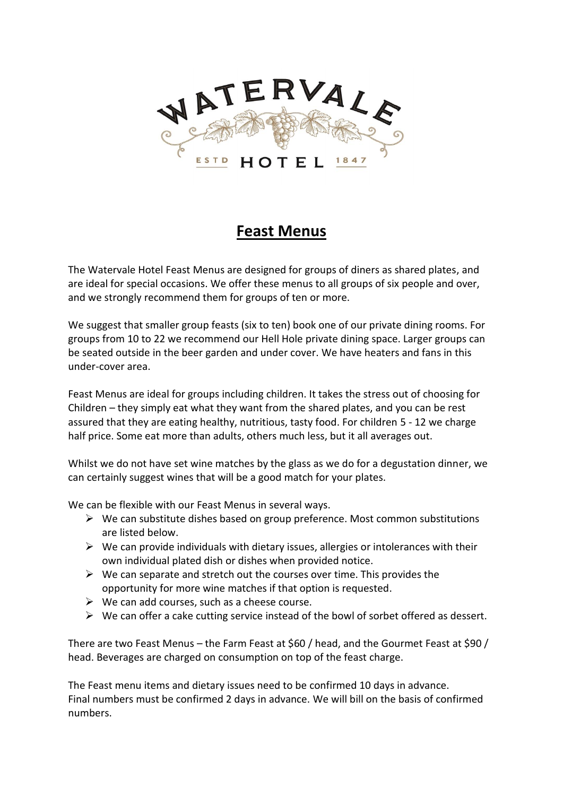

## **Feast Menus**

The Watervale Hotel Feast Menus are designed for groups of diners as shared plates, and are ideal for special occasions. We offer these menus to all groups of six people and over, and we strongly recommend them for groups of ten or more.

We suggest that smaller group feasts (six to ten) book one of our private dining rooms. For groups from 10 to 22 we recommend our Hell Hole private dining space. Larger groups can be seated outside in the beer garden and under cover. We have heaters and fans in this under-cover area.

Feast Menus are ideal for groups including children. It takes the stress out of choosing for Children – they simply eat what they want from the shared plates, and you can be rest assured that they are eating healthy, nutritious, tasty food. For children 5 - 12 we charge half price. Some eat more than adults, others much less, but it all averages out.

Whilst we do not have set wine matches by the glass as we do for a degustation dinner, we can certainly suggest wines that will be a good match for your plates.

We can be flexible with our Feast Menus in several ways.

- $\triangleright$  We can substitute dishes based on group preference. Most common substitutions are listed below.
- $\triangleright$  We can provide individuals with dietary issues, allergies or intolerances with their own individual plated dish or dishes when provided notice.
- $\triangleright$  We can separate and stretch out the courses over time. This provides the opportunity for more wine matches if that option is requested.
- $\triangleright$  We can add courses, such as a cheese course.
- $\triangleright$  We can offer a cake cutting service instead of the bowl of sorbet offered as dessert.

There are two Feast Menus – the Farm Feast at \$60 / head, and the Gourmet Feast at \$90 / head. Beverages are charged on consumption on top of the feast charge.

The Feast menu items and dietary issues need to be confirmed 10 days in advance. Final numbers must be confirmed 2 days in advance. We will bill on the basis of confirmed numbers.